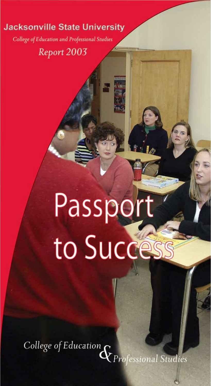#### **Jacksonville State University**

**College of Education and Professional Studies** 

#### Report 2003

# Passpor to Succé

College of Education  $\mathcal{C}_{\textit{Professional Studies}}$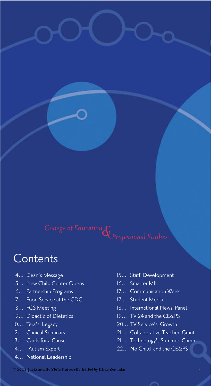## *Professional Studies College of Education&*

#### **Contents**

- 4... Dean's Message
- 5... New Child Center Opens
- 6… Partnership Programs
- 7... Food Service at the CDC
- 8... FCS Meeting
- 9… Didactic of Dietetics
- 10... Tera's Legacy
- 12... Clinical Seminars
- 13... Cards for a Cause
- 14... Autism Expert
- 14... National Leadership
- 15… Staff Development
- 16... Smarter MIL
- 17... Communication Week
- 17... Student Media
- 18... International News Panel
- 19... TV 24 and the CE&PS
- 20... TV Service's Growth
- 21... Collaborative Teacher Grant
- 21... Technology's Summer Camp
- 22... No Child and the CE&PS

**© 2003 Jacksonville State University Edited by Mike Zenanko**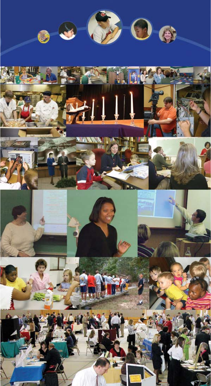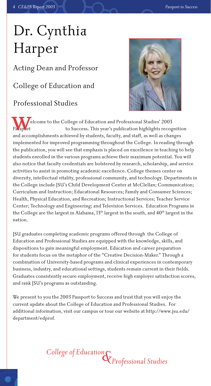## Dr. Cynthia Harper

Acting Dean and Professor

College of Education and

#### Professional Studies



elcome to the College of Education and Professional Studies' 2003 to Success. This year's publication highlights recognition Passport to the College of Education and Professional Studies' 2003<br>to Success. This year's publication highlights recognition<br>and accomplishments achieved by students, faculty, and staff, as well as changes implemented for improved programming throughout the College. In reading through the publication, you will see that emphasis is placed on excellence in teaching to help students enrolled in the various programs achieve their maximum potential. You will also notice that faculty credentials are bolstered by research, scholarship, and service activities to assist in promoting academic excellence. College themes center on diversity, intellectual vitality, professional community, and technology. Departments in the College include JSU's Child Development Center at McClellan; Communication; Curriculum and Instruction; Educational Resources; Family and Consumer Sciences; Health, Physical Education, and Recreation; Instructional Services; Teacher Service Center; Technology and Engineering; and Television Services. Education Programs in the College are the largest in Alabama,  $13<sup>th</sup>$  largest in the south, and  $40<sup>th</sup>$  largest in the nation.

JSU graduates completing academic programs offered through the College of Education and Professional Studies are equipped with the knowledge, skills, and dispositions to gain meaningful employment. Education and career preparation for students focus on the metaphor of the "Creative Decision-Maker." Through a combination of University-based programs and clinical experiences in contemporary business, industry, and educational settings, students remain current in their fields. Graduates consistently secure employment, receive high employer satisfaction scores, and rank JSU's programs as outstanding.

We present to you the 2003 Passport to Success and trust that you will enjoy the current update about the College of Education and Professional Studies. For additional information, visit our campus or tour our website at http://www.jsu.edu/ department/edprof.

*Professional Studies College of Education&*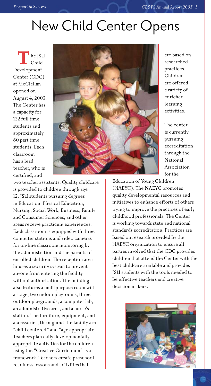#### New Child Center Opens

he JSU Child **T** he SU<br>Development Center (CDC) at McClellan opened on August 4, 2003. The Center has a capacity for 132 full time students and approximately 60 part time students. Each classroom has a lead teacher, who is certified, and



are based on researched practices. Children are offered a variety of enriched learning activities.

The center is currently pursuing accreditation through the National Association for the

two teacher assistants. Quality childcare is provided to children through age 12. JSU students pursuing degrees in Education, Physical Education, Nursing, Social Work, Business, Family and Consumer Sciences, and other areas receive practicum experiences. Each classroom is equipped with three computer stations and video cameras for on-line classroom monitoring by the administration and the parents of enrolled children. The reception area houses a security system to prevent anyone from entering the facility without authorization. The building also features a multipurpose room with a stage, two indoor playrooms, three outdoor playgrounds, a computer lab, an administrative area, and a nurse's station. The furniture, equipment, and accessories, throughout the facility are "child centered" and "age appropriate." Teachers plan daily developmentally appropriate activities for the children using the "Creative Curriculum" as a framework. Teachers create preschool readiness lessons and activities that

Education of Young Children (NAEYC). The NAEYC promotes quality developmental resources and initiatives to enhance efforts of others trying to improve the practices of early childhood professionals. The Center is working towards state and national standards accreditation. Practices are based on research provided by the NAEYC organization to ensure all parties involved that the CDC provides children that attend the Center with the best childcare available and provides JSU students with the tools needed to be effective teachers and creative decision makers.

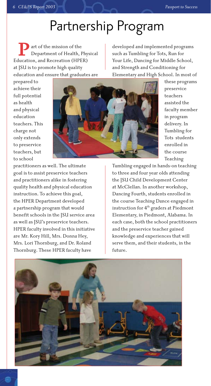#### Partnership Program

art of the mission of the Department of Health, Physical **P** art of the mission of the Department of Health, Physoclare<br>Education, and Recreation (HPER) at JSU is to promote high quality education and ensure that graduates are

developed and implemented programs such as Tumbling for Tots, Run for Your Life, Dancing for Middle School, and Strength and Conditioning for Elementary and High School. In most of

prepared to achieve their full potential as health and physical education teachers. This charge not only extends to preservice teachers, but to school



these programs preservice teachers assisted the faculty member in program delivery. In Tumbling for Tots students enrolled in the course Teaching

practitioners as well. The ultimate goal is to assist preservice teachers and practitioners alike in fostering quality health and physical education instruction. To achieve this goal, the HPER Department developed a partnership program that would benefit schools in the JSU service area as well as JSU's preservice teachers. HPER faculty involved in this initiative are Mr. Kory Hill, Mrs. Donna Hey, Mrs. Lori Thornburg, and Dr. Roland Thornburg. These HPER faculty have

Tumbling engaged in hands-on teaching to three and four year olds attending the JSU Child Development Center at McClellan. In another workshop, Dancing Fourth, students enrolled in the course Teaching Dance engaged in instruction for  $4<sup>th</sup>$  graders at Piedmont Elementary, in Piedmont, Alabama. In each case, both the school practitioners and the preservice teacher gained knowledge and experiences that will serve them, and their students, in the future.

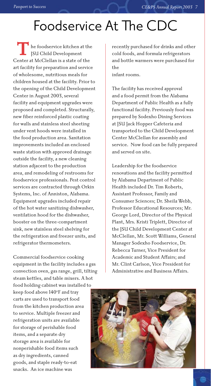#### Foodservice At The CDC

he foodservice kitchen at the JSU Child Development **Example 15 The foodservice kitchen at the ISU Child Development**<br>Center at McClellan is a state of the art facility for preparation and service of wholesome, nutritious meals for children housed at the facility. Prior to the opening of the Child Development Center in August 2003, several facility and equipment upgrades were proposed and completed. Structurally, new fiber reinforced plastic coating for walls and stainless steel sheeting under vent hoods were installed in the food production area. Sanitation improvements included an enclosed waste station with approved drainage outside the facility, a new cleaning station adjacent to the production area, and remodeling of restrooms for foodservice professionals. Pest control services are contracted through Orkin Systems, Inc. of Anniston, Alabama. Equipment upgrades included repair of the hot water sanitizing dishwasher, ventilation hood for the dishwasher, booster on the three-compartment sink, new stainless steel shelving for the refrigeration and freezer units, and refrigerator thermometers.

Commercial foodservice cooking equipment in the facility includes a gas convection oven, gas range, grill, tilting steam kettles, and table mixers. A hot

recently purchased for drinks and other cold foods, and formula refrigerators and bottle warmers were purchased for the infant rooms.

The facility has received approval and a food permit from the Alabama Department of Public Health as a fully functional facility. Previously food was prepared by Sodexho Dining Services at JSU Jack Hopper Cafeteria and transported to the Child Development Center McClellan for assembly and service. Now food can be fully prepared and served on site.

Leadership for the foodservice renovations and the facility permitted by Alabama Department of Public Health included Dr. Tim Roberts, Assistant Professor, Family and Consumer Sciences; Dr. Sheila Webb, Professor Educational Resources; Mr. George Lord, Director of the Physical Plant, Mrs. Kristi Triplett, Director of the JSU Child Development Center at McClellan, Mr. Scott Williams, General Manager Sodexho Foodservice, Dr. Rebecca Turner, Vice President for Academic and Student Affairs; and Mr. Clint Carlson, Vice President for Administrative and Business Affairs.

food holding cabinet was installed to keep food above 140°F and tray carts are used to transport food from the kitchen production area to service. Multiple freezer and refrigeration units are available for storage of perishable food items, and a separate dry storage area is available for nonperishable food items such as dry ingredients, canned goods, and staple ready-to-eat snacks. An ice machine was

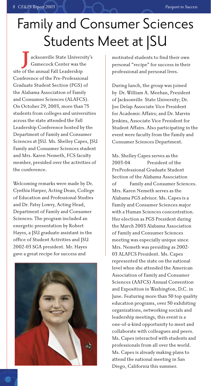#### Family and Consumer Sciences Students Meet at SU

acksonville State University's Gamecock Center was the site of the annual Fall Leadership Conference of the Pre-Professional Graduate Student Section (PGS) of the Alabama Association of Family and Consumer Sciences (ALAFCS). On October 29, 2003, more than 75 students from colleges and universities across the state attended the Fall Leadership Conference hosted by the Department of Family and Consumer Sciences at JSU. Ms. Shelley Capes, JSU Family and Consumer Sciences student and Mrs. Karen Nemeth, FCS faculty member, presided over the activities of the conference. **J**

Welcoming remarks were made by Dr. Cynthia Harper, Acting Dean, College of Education and Professional Studies and Dr. Patsy Lowry, Acting Head, Department of Family and Consumer Sciences. The program included an energetic presentation by Robert Hayes, a JSU graduate assistant in the office of Student Activities and JSU 2002-03 SGA president. Mr. Hayes gave a great recipe for success and



motivated students to find their own personal "recipe" for success in their professional and personal lives.

During lunch, the group was joined by Dr. William A. Meehan, President of Jacksonville State University; Dr. Joe Delap Associate Vice President for Academic Affairs; and Dr. Marvin Jenkins, Associate Vice President for Student Affairs. Also participating in the event were faculty from the Family and Consumer Sciences Department.

Ms. Shelley Capes serves as the 2003-04 President of the PreProfessional Graduate Student Section of the Alabama Association of Family and Consumer Sciences. Mrs. Karen Nemeth serves as the Alabama PGS advisor. Ms. Capes is a Family and Consumer Sciences major with a Human Sciences concentration. Her election as PGS President during the March 2003 Alabama Association of Family and Consumer Sciences meeting was especially unique since Mrs. Nemeth was presiding as 2002- 03 ALAFCS President. Ms. Capes represented the state on the national level when she attended the American Association of Family and Consumer Sciences (AAFCS) Annual Convention and Exposition in Washington, D.C. in June. Featuring more than 50 top quality education programs, over 50 exhibiting organizations, networking socials and leadership meetings, this event is a one-of-a-kind opportunity to meet and collaborate with colleagues and peers. Ms. Capes interacted with students and professionals from all over the world. Ms. Capes is already making plans to attend the national meeting in San Diego, California this summer.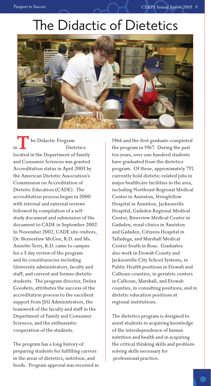#### The Didactic of Dietetics



he Didactic Program Dietetics **Example 18 In the Didactic Program**<br> **The Department of Family** and Consumer Sciences was granted Accreditation status in April 2003 by the American Dietetic Association's Commission on Accreditation of Dietetic Education (CADE). The accreditation process began in 2000 with internal and external reviews followed by compilation of a selfstudy document and submission of the document to CADE in September 2002. In November 2002, CADE site-visitors, Dr. Bernestine McGee, R.D. and Ms. Annette Terry, R.D. came to campus for a 3-day review of the program and its constituencies including University administrators, faculty and staff, and current and former dietetic students. The program director, Debra Goodwin, attributes the success of the accreditation process to the excellent support from JSU Administrators, the teamwork of the faculty and staff in the Department of Family and Consumer Sciences, and the enthusiastic cooperation of the students.

The program has a long history of preparing students for fulfilling careers in the areas of dietetics, nutrition, and foods. Program approval was received in 1966 and the first graduate completed the program in 1967. During the past ten years, over one hundred students have graduated from the dietetics program. Of these, approximately 75% currently hold dietetic-related jobs in major healthcare facilities in the area, including Northeast Regional Medical Center in Anniston, Stringfellow Hospital in Anniston, Jacksonville Hospital, Gadsden Regional Medical Center, Riverview Medical Center in Gadsden, renal clinics in Anniston and Gadsden, Citizens Hospital in Talladega, and Marshall Medical Center South in Boaz. Graduates also work in Etowah County and Jacksonville City School Systems, in Public Health positions in Etowah and Calhoun counties, in geriatric centers in Calhoun, Marshall, and Etowah counties, in consulting positions, and in dietetic education positions at regional institutions.

The dietetics program is designed to assist students in acquiring knowledge of the interdependence of human nutrition and health and in acquiring the critical thinking skills and problemsolving skills necessary for professional practice.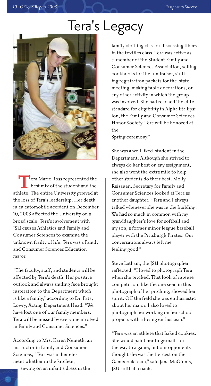#### Tera's Legacy



era Marie Ross represented the best mix of the student and the **P** era Marie Ross represented the best mix of the student and the athlete. The entire University grieved at the loss of Tera's leadership. Her death in an automobile accident on December 10, 2003 affected the University on a broad scale. Tera's involvement with JSU causes Athletics and Family and Consumer Sciences to examine the unknown frailty of life. Tera was a Family and Consumer Sciences Education major.

"The faculty, staff, and students will be affected by Tera's death. Her positive outlook and always smiling face brought inspiration to the Department which is like a family," according to Dr. Patsy Lowry, Acting Department Head. "We have lost one of our family members. Tera will be missed by everyone involved in Family and Consumer Sciences."

According to Mrs. Karen Nemeth, an instructor in Family and Consumer Sciences, "Tera was in her element whether in the kitchen, sewing on an infant's dress in the

family clothing class or discussing fibers in the textiles class. Tera was active as a member of the Student Family and Consumer Sciences Association, selling cookbooks for the fundraiser, stuffing registration packets for the state meeting, making table decorations, or any other activity in which the group was involved. She had reached the elite standard for eligibility in Alpha Eta Epsilon, the Family and Consumer Sciences Honor Society. Tera will be honored at the

Spring ceremony."

She was a well liked student in the Department. Although she strived to always do her best on any assignment, she also went the extra mile to help other students do their best. Molly Raisanen, Secretary for Family and Consumer Sciences looked at Tera as another daughter. "Tera and I always talked whenever she was in the building. We had so much in common with my granddaughter's love for softball and my son, a former minor league baseball player with the Pittsburgh Pirates. Our conversations always left me feeling good."

Steve Latham, the JSU photographer reflected, "I loved to photograph Tera when she pitched. That look of intense competition, like the one seen in this photograph of her pitching, showed her spirit. Off the field she was enthusiastic about her major. I also loved to photograph her working on her school projects with a loving enthusiasm."

"Tera was an athlete that baked cookies. She would paint her fingernails on the way to a game, but our opponents thought she was the fiercest on the Gamecock team," said Jana McGinnis, JSU softball coach.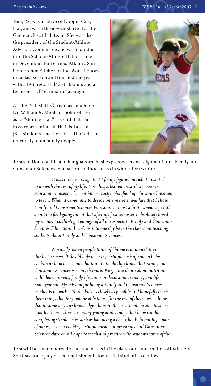Tera, 22, was a native of Cooper City, Fla., and was a three-year starter for the Gamecock softball team. She was also the president of the Student-Athlete Advisory Committee and was inducted into the Scholar-Athlete Hall of Fame in December. Tera earned Atlantic Sun Conference Pitcher-of-the-Week honors once last season and finished the year with a 19-6 record, 142 strikeouts and a team-best 1.17 earned run average.

At the JSU Staff Christmas luncheon, Dr. William A. Meehan spoke of Tera as a "shining star." He said that Tera Ross represented all that is best of JSU students and her loss affected the university community deeply.



Tera's outlook on life and her goals are best expressed in an assignment for a Family and Consumer Sciences Education methods class in which Tera wrote:

> *It was three years ago that I finally figured out what I wanted to do with the rest of my life. I've always leaned towards a career in education, however, I never knew exactly what field of education I wanted to teach. When it came time to decide on a major it was fate that I chose Family and Consumer Sciences Education. I must admit I knew very little about the field going into it, but after my first semester I absolutely loved my major. I couldn't get enough of all the aspects to Family and Consumer Sciences Education. I can't wait to one day be in the classroom teaching students about Family and Consumer Sciences.*

*Normally, when people think of "home economics" they think of a sweet, little old lady teaching a simple task of how to bake cookies or how to sew on a button. Little do they know that Family and Consumer Sciences is so much more. We go into depth about nutrition, child development, family life, interior decoration, sewing, and life management. My mission for being a Family and Consumer Sciences teacher is to work with the kids as closely as possible and hopefully teach them things that they will be able to use for the rest of their lives. I hope that in some way any knowledge I have in the area I will be able to share it with others. There are many young adults today that have trouble completing simple tasks such as balancing a check book, hemming a pair of pants, or even cooking a simple meal. In my Family and Consumer Sciences classroom I hope to teach and practice with students some of the* 

Tera will be remembered for her successes in the classroom and on the softball field. She leaves a legacy of accomplishments for all JSU students to follow.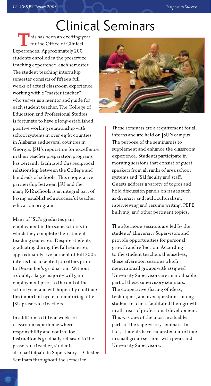#### Clinical Seminars

his has been an exciting year for the Office of Clinical This has been an exciting y<br>for the Office of Clinical<br>Experiences. Approximately 200 students enrolled in the preservice teaching experience each semester. The student teaching internship semester consists of fifteen full weeks of actual classroom experience working with a "master teacher" who serves as a mentor and guide for each student teacher. The College of Education and Professional Studies is fortunate to have a long-established positive working relationship with school systems in over eight counties in Alabama and several counties in Georgia. JSU's reputation for excellence in their teacher preparation programs has certainly facilitated this reciprocal relationship between the College and hundreds of schools. This cooperative partnership between JSU and the many K-12 schools is an integral part of having established a successful teacher education program.

Many of JSU's graduates gain employment in the same schools in which they complete their student teaching semester. Despite students graduating during the Fall semester, approximately five percent of Fall 2003 interns had accepted job offers prior to December's graduation. Without a doubt, a large majority will gain employment prior to the end of the school year, and will hopefully continue the important cycle of mentoring other JSU preservice teachers.

In addition to fifteen weeks of classroom experience where responsibility and control for instruction is gradually released to the preservice teacher, students also participate in Supervisory Cluster Seminars throughout the semester.



These seminars are a requirement for all interns and are held on JSU's campus. The purpose of the seminars is to supplement and enhance the classroom experience. Students participate in morning sessions that consist of guest speakers from all ranks of area school systems and JSU faculty and staff. Guests address a variety of topics and hold discussion panels on issues such as diversity and multiculturalism, interviewing and resume writing, PEPE, bullying, and other pertinent topics.

The afternoon sessions are led by the students' University Supervisors and provide opportunities for personal growth and reflection. According to the student teachers themselves, these afternoon sessions which meet in small groups with assigned University Supervisors are an invaluable part of these supervisory seminars. The cooperative sharing of ideas, techniques, and even questions among student teachers facilitated their growth in all areas of professional development. This was one of the most invaluable parts of the supervisory seminars. In fact, students have requested more time in small group sessions with peers and University Supervisors.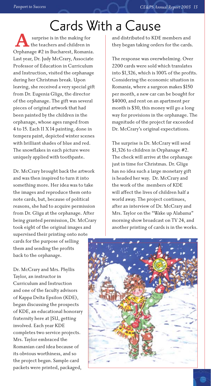#### Cards With a Cause

 surprise is in the making for the teachers and children in **A**<br>
surprise is in the making for<br>
the teachers and children in<br>
Orphanage #2 in Bucharest, Romania. Last year, Dr. Judy McCrary, Associate Professor of Education in Curriculum and Instruction, visited the orphanage during her Christmas break. Upon leaving, she received a very special gift from Dr. Eugenia Gliga, the director of the orphanage. The gift was several pieces of original artwork that had been painted by the children in the orphanage, whose ages ranged from 4 to 15. Each 11 X 14 painting, done in tempera paint, depicted winter scenes with brilliant shades of blue and red. The snowflakes in each picture were uniquely applied with toothpaste.

Dr. McCrary brought back the artwork and was then inspired to turn it into something more. Her idea was to take the images and reproduce them onto note cards, but, because of political reasons, she had to acquire permission from Dr. Gliga at the orphanage. After being granted permission, Dr. McCrary took eight of the original images and supervised their printing onto note cards for the purpose of selling

and distributed to KDE members and they began taking orders for the cards.

The response was overwhelming. Over 2200 cards were sold which translates into \$1,326, which is 100% of the profits. Considering the economic situation in Romania, where a surgeon makes \$150 per month, a new car can be bought for \$4000, and rent on an apartment per month is \$30, this money will go a long way for provisions in the orphanage. The magnitude of the project far exceeded Dr. McCrary's original expectations.

The surprise is Dr. McCrary will send \$1,326 to children in Orphanage #2. The check will arrive at the orphanage just in time for Christmas. Dr. Gliga has no idea such a large monetary gift is headed her way. Dr. McCrary and the work of the members of KDE will affect the lives of children half a world away. The project continues, after an interview of Dr. McCrary and Mrs. Taylor on the "Wake up Alabama" morning show broadcast on TV 24, and another printing of cards is in the works.

Dr. McCrary and Mrs. Phyllis Taylor, an instructor in Curriculum and Instruction and one of the faculty advisors of Kappa Delta Epsilon (KDE), began discussing the prospects of KDE, an educational honorary fraternity here at JSU, getting involved. Each year KDE completes two service projects. Mrs. Taylor embraced the Romanian card idea because of its obvious worthiness, and so the project began. Sample card packets were printed, packaged,

them and sending the profits back to the orphanage.

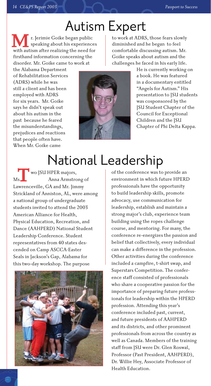## Autism Expert

 speaking about his experiences **M r.** Jerimie Goike began public<br>speaking about his experiences<br>with autism after realizing the need for firsthand information concerning the disorder. Mr. Goike came to work at

the Alabama Department of Rehabilitation Services (ADRS) while he was still a client and has been employed with ADRS for six years. Mr. Goike says he didn't speak out about his autism in the past because he feared the misunderstandings, prejudices and reactions that people often have. When Mr. Goike came



to work at ADRS, those fears slowly diminished and he began to feel comfortable discussing autism. Mr. Goike speaks about autism and the challenges he faced in his early life.

> He is currently working on a book. He was featured in a documentary entitled "Angels for Autism." His presentation to JSU students was cosponsored by the JSU Student Chapter of the Council for Exceptional Children and the JSU Chapter of Phi Delta Kappa.

## **National Leadership**

wo JSU HPER majors, Ms. Anna Armstrong of Lawrenceville, GA and Mr. Jimmy Strickland of Anniston, AL, were among a national group of undergraduate students invited to attend the 2003 American Alliance for Health, Physical Education, Recreation, and Dance (AAHPERD) National Student Leadership Conference. Student representatives from 40 states descended on Camp ASCCA-Easter Seals in Jackson's Gap, Alabama for this two-day workshop. The purpose



of the conference was to provide an environment in which future HPERD professionals have the opportunity to build leadership skills, promote advocacy, use communication for leadership, establish and maintain a strong major's club, experience team building using the ropes challenge course, and mentoring. For many, the conference re-energizes the passion and belief that collectively, every individual can make a difference in the profession. Other activities during the conference included a campfire, t-shirt swap, and Superstars Competition. The conference staff consisted of professionals who share a cooperative passion for the importance of preparing future professionals for leadership within the HPERD profession. Attending this year's conference included past, current, and future presidents of AAHPERD and its districts, and other prominent professionals from across the country as well as Canada. Members of the training staff from JSU were Dr. Glen Roswal, Professor (Past President, AAHPERD), Dr. Willie Hey, Associate Professor of Health Education.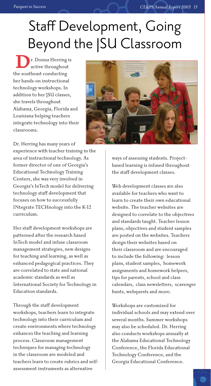#### Staff Development, Going Beyond the JSU Classroom

r. Donna Herring is active throughout **D**<br>**r.** Donna Herring<br>active throughout<br>the southeast conducting her hands-on instructional technology workshops. In addition to her JSU classes, she travels throughout Alabama, Georgia, Florida and Louisiana helping teachers integrate technology into their classrooms.

Dr. Herring has many years of experience with teacher training in the area of instructional technology. As former director of one of Georgia's Educational Technology Training Centers, she was very involved in Georgia's InTech model for delivering technology staff development that focuses on how to successfully INtegrate TECHnology into the K-12 curriculum.

Her staff development workshops are patterned after the research based InTech model and infuse classroom management strategies, new designs for teaching and learning, as well as enhanced pedagogical practices. They are correlated to state and national academic standards as well as International Society for Technology in Education standards.

Through the staff development workshops, teachers learn to integrate technology into their curriculum and create environments where technology enhances the teaching and learning process. Classroom management techniques for managing technology in the classroom are modeled and teachers learn to create rubrics and selfassessment instruments as alternative



ways of assessing students. Projectbased learning is infused throughout the staff development classes.

Web development classes are also available for teachers who want to learn to create their own educational website. The teacher websites are designed to correlate to the objectives and standards taught. Teacher lesson plans, objectives and student samples are posted on the websites. Teachers design their websites based on their classroom and are encouraged to include the following: lesson plans, student samples, homework assignments and homework helpers, tips for parents, school and class calendars, class newsletters, scavenger hunts, webquests and more.

Workshops are customized for individual schools and may extend over several months. Summer workshops may also be scheduled. Dr. Herring also conducts workshops annually at the Alabama Educational Technology Conference, the Florida Educational Technology Conference, and the Georgia Educational Conference.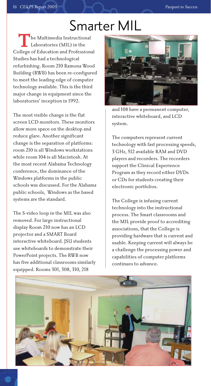#### Smarter MIL

he Multimedia Instructional Laboratories (MIL) in the The Multimedia Instructional<br>
Laboratories (MIL) in the<br>
College of Education and Professional Studies has had a technological refurbishing. Room 210 Ramona Wood Building (RWB) has been re-configured to meet the leading edge of computer technology available. This is the third major change in equipment since the laboratories' inception in 1992.

The most visible change is the flat screen LCD monitors. These monitors allow more space on the desktop and reduce glare. Another significant change is the separation of platforms: room 210 is all Windows workstations while room 104 is all Macintosh. At the most recent Alabama Technology conference, the dominance of the Windows platforms in the public schools was discussed. For the Alabama public schools, Windows as the based systems are the standard.

The S-video loop in the MIL was also removed. For large instructional display Room 210 now has an LCD projector and a SMART Board interactive whiteboard. [SU students use whiteboards to demonstrate their PowerPoint projects. The RWB now has five additional classrooms similarly equipped. Rooms 301, 308, 310, 218



and 108 have a permanent computer, interactive whiteboard, and LCD system.

The computers represent current technology with fast processing speeds, 3 GHz, 512 available RAM and DVD players and recorders. The recorders support the Clinical Experience Program as they record either DVDs or CDs for students creating their electronic portfolios.

The College is infusing current technology into the instructional process. The Smart classrooms and the MIL provide proof to accrediting associations, that the College is providing hardware that is current and usable. Keeping current will always be a challenge the processing power and capabilities of computer platforms continues to advance.

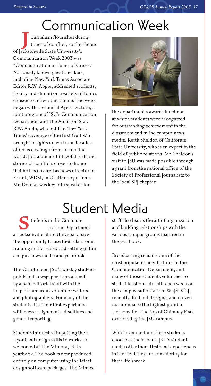#### Communication Week

ournalism flourishes during times of conflict, so the theme ournalism flourishes during<br>times of conflict, so the two Jacksonville State University's Communication Week 2003 was "Communication in Times of Crises." Nationally known guest speakers, including New York Times Associate Editor R.W. Apple, addressed students, faculty and alumni on a variety of topics chosen to reflect this theme. The week began with the annual Ayers Lecture, a joint program of JSU's Communication Department and The Anniston Star. R.W. Apple, who led The New York Times' coverage of the first Gulf War, brought insights drawn from decades of crisis coverage from around the world. JSU alumnus Bill Dobilas shared stories of conflicts closer to home that he has covered as news director of Fox 61, WDSI, in Chattanooga, Tenn. Mr. Dobilas was keynote speaker for



the department's awards luncheon at which students were recognized for outstanding achievement in the classroom and in the campus news media. Keith Sheldon of California State University, who is an expert in the field of public relations. Mr. Sheldon's visit to JSU was made possible through a grant from the national office of the Society of Professional Journalists to the local SPJ chapter.

#### Student Media

tudents in the Commun ication Department at Jacksonville State University have **S**the opportunity to use their classroom training in the real-world setting of the campus news media and yearbook.

The Chanticleer, [SU's weekly studentpublished newspaper, is produced by a paid editorial staff with the help of numerous volunteer writers and photographers. For many of the students, it's their first experience with news assignments, deadlines and general reporting.

Students interested in putting their layout and design skills to work are welcomed at The Mimosa, JSU's yearbook. The book is now produced entirely on computer using the latest design software packages. The Mimosa staff also learns the art of organization and building relationships with the various campus groups featured in the yearbook.

Broadcasting remains one of the most popular concentrations in the Communication Department, and many of those students volunteer to staff at least one air shift each week on the campus radio station. WLJS, 92-J, recently doubled its signal and moved its antenna to the highest point in Jacksonville – the top of Chimney Peak overlooking the JSU campus.

Whichever medium these students choose as their focus, JSU's student media offer them firsthand experiences in the field they are considering for their life's work.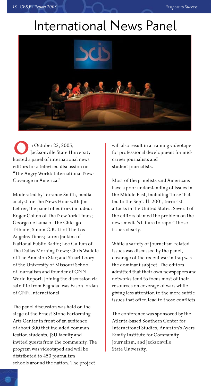#### International News Panel



**O**n October 22, 2003,<br>Jacksonville State Un Jacksonville State University hosted a panel of international news editors for a televised discussion on "The Angry World: International News Coverage in America."

Moderated by Terrance Smith, media analyst for The News Hour with Jim Lehrer, the panel of editors included: Roger Cohen of The New York Times; George de Lama of The Chicago Tribune; Simon C.K. Li of The Los Angeles Times; Loren Jenkins of National Public Radio; Lee Cullum of The Dallas Morning News; Chris Waddle of The Anniston Star; and Stuart Loory of the University of Missouri School of Journalism and founder of CNN World Report. Joining the discussion via satellite from Baghdad was Eason Jordan of CNN International.

The panel discussion was held on the stage of the Ernest Stone Performing Arts Center in front of an audience of about 300 that included communication students, [SU faculty and invited guests from the community. The program was videotaped and will be distributed to 450 journalism schools around the nation. The project

will also result in a training videotape for professional development for midcareer journalists and student journalists.

Most of the panelists said Americans have a poor understanding of issues in the Middle East, including those that led to the Sept. 11, 2001, terrorist attacks in the United States. Several of the editors blamed the problem on the news media's failure to report those issues clearly.

While a variety of journalism-related issues was discussed by the panel, coverage of the recent war in Iraq was the dominant subject. The editors admitted that their own newspapers and networks tend to focus most of their resources on coverage of wars while giving less attention to the more subtle issues that often lead to those conflicts.

The conference was sponsored by the Atlanta-based Southern Center for International Studies, Anniston's Ayers Family Institute for Community Journalism, and Jacksonville State University.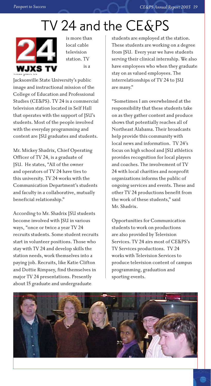## TV 24 and the CE&PS



 local cable television station. TV

Jacksonville State University's public image and instructional mission of the College of Education and Professional Studies (CE&PS). TV 24 is a commercial television station located in Self Hall that operates with the support of JSU's students. Most of the people involved with the everyday programming and content are JSU graduates and students.

Mr. Mickey Shadrix, Chief Operating Officer of TV 24, is a graduate of JSU. He states, "All of the owner and operators of TV 24 have ties to this university. TV 24 works with the Communication Department's students and faculty in a collaborative, mutually beneficial relationship."

According to Mr. Shadrix [SU students become involved with JSU in various ways, "once or twice a year TV 24 recruits students. Some student recruits start in volunteer positions. Those who stay with TV 24 and develop skills the station needs, work themselves into a paying job. Recruits, like Katie Clifton and Dottie Rimpsey, find themselves in major TV 24 presentations. Presently about 15 graduate and undergraduate

students are employed at the station. These students are working on a degree from JSU. Every year we have students serving their clinical internship. We also have employees who when they graduate stay on as valued employees. The interrelationships of TV 24 to JSU are many."

"Sometimes I am overwhelmed at the responsibility that these students take on as they gather content and produce shows that potentially reaches all of Northeast Alabama. Their broadcasts help provide this community with local news and information. TV 24's focus on high school and JSU athletics provides recognition for local players and coaches. The involvement of TV 24 with local charities and nonprofit organizations informs the public of ongoing services and events. These and other TV 24 productions benefit from the work of these students," said Mr. Shadrix.

Opportunities for Communication students to work on productions are also provided by Television Services. TV 24 airs most of CE&PS's TV Services productions. TV 24 works with Television Services to produce television content of campus programming, graduation and sporting events.

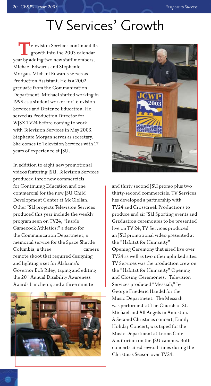#### TV Services' Growth

elevision Services continued its growth into the 2003 calendar **T** elevision Services continued it growth into the 2003 calendar year by adding two new staff members, Michael Edwards and Stephanie Morgan. Michael Edwards serves as Production Assistant. He is a 2002 graduate from the Communication Department. Michael started working in 1999 as a student worker for Television Services and Distance Education. He served as Production Director for WJSX-TV24 before coming to work with Television Services in May 2003. Stephanie Morgan serves as secretary. She comes to Television Services with 17 years of experience at JSU.

In addition to eight new promotional videos featuring JSU, Television Services produced three new commercials for Continuing Education and one commercial for the new JSU Child Development Center at McClellan. Other JSU projects Television Services produced this year include the weekly program seen on TV24, "Inside Gamecock Athletics;" a demo for the Communication Department; a memorial service for the Space Shuttle Columbia; a three camera remote shoot that required designing and lighting a set for Alabama's Governor Bob Riley; taping and editing the 20<sup>th</sup> Annual Disability Awareness Awards Luncheon; and a three minute





and thirty second JSU promo plus two thirty-second commercials. TV Services has developed a partnership with TV24 and Crosscreek Productions to produce and air JSU Sporting events and Graduation ceremonies to be presented live on TV 24; TV Services produced an JSU promotional video presented at the "Habitat for Humanity" Opening Ceremony that aired live over TV24 as well as two other uplinked sites. TV Services was the production crew on the "Habitat for Humanity" Opening and Closing Ceremonies. Television Services produced "Messiah," by George Friederic Handel for the Music Department. The Messiah was performed at The Church of St. Michael and All Angels in Anniston. A Second Christmas concert, Family Holiday Concert, was taped for the Music Department at Leone Cole Auditorium on the JSU campus. Both concerts aired several times during the Christmas Season over TV24.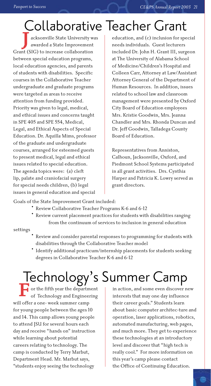## Collaborative Teacher Grant

acksonville State University was awarded a State Improvement Grant (SIG) to increase collaboration between special education programs, local education agencies, and parents of students with disabilities. Specific courses in the Collaborative Teacher undergraduate and graduate programs were targeted as areas to receive attention from funding provided. Priority was given to legal, medical, and ethical issues and concerns taught in SPE 405 and SPE 554, Medical, Legal, and Ethical Aspects of Special Education. Dr. Aquilla Mims, professor of the graduate and undergraduate courses, arranged for esteemed guests to present medical, legal and ethical issues related to special education. The agenda topics were: (a) cleft lip, palate and craniofacial surgery for special needs children, (b) legal issues in general education and special **J**

education, and (c) inclusion for special needs individuals. Guest lecturers included Dr. John H. Grant III, surgeon at The University of Alabama School of Medicine/Children's Hospital and Colleen Carr, Attorney at Law/Assistant Attorney General of the Department of Human Resources. In addition, issues related to school law and classroom management were presented by Oxford City Board of Education employees Mrs. Kristie Goodwin, Mrs. Jeanna Chandler and Mrs. Rhonda Duncan and Dr. Jeff Goodwin, Talladega County Board of Education.

Representatives from Anniston, Calhoun, Jacksonville, Oxford, and Piedmont School Systems participated in all grant activities. Drs. Cynthia Harper and Patricia K. Lowry served as grant directors.

Goals of the State Improvement Grant included:

- · Review Collaborative Teacher Programs K-6 and 6-12
- · Review current placement practices for students with disabilities ranging from the continuum of services to inclusion in general education

settings

- Review and consider parental responses to programming for students with disabilities through the Collaborative Teacher model
- · Identify additional practicum/internship placements for students seeking degrees in Collaborative Teacher K-6 and 6-12

## Technology's Summer Camp **<sup>F</sup>**

or the fifth year the department of Technology and Engineering will offer a one- week summer camp for young people between the ages 10 and 14. This camp allows young people to attend JSU for several hours each day and receive "hands on" instruction while learning about potential careers relating to technology. The camp is conducted by Terry Marbut, Department Head. Mr. Marbut says, "students enjoy seeing the technology

in action, and some even discover new interests that may one day influence their career goals." Students learn about basic computer architec-ture and operation, laser applications, robotics, automated manufacturing, web pages, and much more. They get to experience these technologies at an introductory level and discover that "high tech is really cool." For more information on this year's camp please contact the Office of Continuing Education.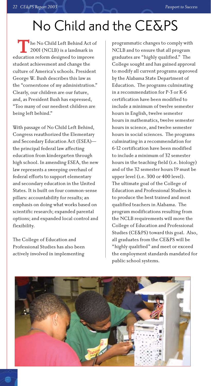#### No Child and the CE&PS

he No Child Left Behind Act of 2001 (NCLB) is a landmark in The No Child Left Behind Act on<br>
2001 (NCLB) is a landmark in<br>
education reform designed to improve student achievement and change the culture of America's schools. President George W. Bush describes this law as the "cornerstone of my administration." Clearly, our children are our future, and, as President Bush has expressed, "Too many of our neediest children are being left behind."

With passage of No Child Left Behind, Congress reauthorized the Elementary and Secondary Education Act (ESEA) the principal federal law affecting education from kindergarten through high school. In amending ESEA, the new law represents a sweeping overhaul of federal efforts to support elementary and secondary education in the United States. It is built on four common-sense pillars: accountability for results; an emphasis on doing what works based on scientific research; expanded parental options; and expanded local control and flexibility.

The College of Education and Professional Studies has also been actively involved in implementing programmatic changes to comply with NCLB and to ensure that all program graduates are "highly qualified." The College sought and has gained approval to modify all current programs approved by the Alabama State Department of Education. The programs culminating in a recommendation for P-3 or K-6 certification have been modified to include a minimum of twelve semester hours in English, twelve semester hours in mathematics, twelve semester hours in science, and twelve semester hours in social sciences. The programs culminating in a recommendation for 6-12 certification have been modified to include a minimum of 32 semester hours in the teaching field (i.e. biology) and of the 32 semester hours 19 must be upper level (i.e. 300 or 400 level). The ultimate goal of the College of Education and Professional Studies is to produce the best trained and most qualified teachers in Alabama. The program modifications resulting from the NCLB requirements will move the College of Education and Professional Studies (CE&PS) toward this goal. Also, all graduates from the CE&PS will be "highly qualified" and meet or exceed the employment standards mandated for public school systems.

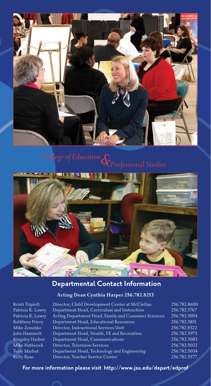

## *Professional Studies College of Education&*



#### **Departmental Contact Information**

#### **Acting Dean Cynthia Harper 256.782.8213**

#### Kristi Triplett Director, Child Development Center at McClellan 256.782.8600 Patricia K. Lowry Department Head, Curriculum and Instruction 256.782.5767 Patricia K. Lowry Acting Department Head, Family and Consumer Sciences 256.782.5054 Kathleen Friery Department Head, Educational Resources 256.782.5851 Mike Zenanko Director, Instructional Services Unit 256.782.8322 John Hammett Department Head, Health, PE and Recreation 256.782.5973 Kingsley Harbor Department Head, Communications 256.782.5083 Mike Hathcock Director, Television Services 256.782.5023 Terry Marbut Department Head, Technology and Engineering 256.782.5034 Kelly Ryan Director, Teacher Service Center 256.782.5577

**For more information please visit http://www.jsu.edu/depart/edprof**